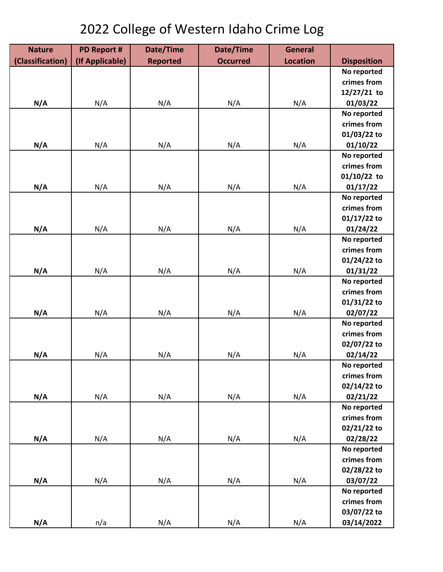## 2022 College of Western Idaho Crime Log

| <b>Nature</b>    | <b>PD Report #</b> | Date/Time       | Date/Time       | <b>General</b>  |                    |
|------------------|--------------------|-----------------|-----------------|-----------------|--------------------|
| (Classification) | (If Applicable)    | <b>Reported</b> | <b>Occurred</b> | <b>Location</b> | <b>Disposition</b> |
|                  |                    |                 |                 |                 | No reported        |
|                  |                    |                 |                 |                 | crimes from        |
|                  |                    |                 |                 |                 | $12/27/21$ to      |
| N/A              | N/A                | N/A             | N/A             | N/A             | 01/03/22           |
|                  |                    |                 |                 |                 | No reported        |
|                  |                    |                 |                 |                 | crimes from        |
|                  |                    |                 |                 |                 | 01/03/22 to        |
| N/A              | N/A                | N/A             | N/A             | N/A             | 01/10/22           |
|                  |                    |                 |                 |                 | No reported        |
|                  |                    |                 |                 |                 | crimes from        |
|                  |                    |                 |                 |                 | $01/10/22$ to      |
| N/A              | N/A                | N/A             | N/A             | N/A             | 01/17/22           |
|                  |                    |                 |                 |                 | No reported        |
|                  |                    |                 |                 |                 | crimes from        |
|                  |                    |                 |                 |                 | $01/17/22$ to      |
| N/A              | N/A                | N/A             | N/A             | N/A             | 01/24/22           |
|                  |                    |                 |                 |                 | No reported        |
|                  |                    |                 |                 |                 | crimes from        |
|                  |                    |                 |                 |                 | 01/24/22 to        |
| N/A              | N/A                | N/A             | N/A             | N/A             | 01/31/22           |
|                  |                    |                 |                 |                 | No reported        |
|                  |                    |                 |                 |                 | crimes from        |
|                  |                    |                 |                 |                 | 01/31/22 to        |
| N/A              | N/A                | N/A             | N/A             | N/A             | 02/07/22           |
|                  |                    |                 |                 |                 | No reported        |
|                  |                    |                 |                 |                 | crimes from        |
|                  |                    |                 |                 |                 | 02/07/22 to        |
| N/A              | N/A                | N/A             | N/A             | N/A             | 02/14/22           |
|                  |                    |                 |                 |                 | No reported        |
|                  |                    |                 |                 |                 | crimes from        |
|                  |                    |                 |                 |                 | 02/14/22 to        |
| N/A              | N/A                | N/A             | N/A             | N/A             | 02/21/22           |
|                  |                    |                 |                 |                 | No reported        |
|                  |                    |                 |                 |                 | crimes from        |
|                  |                    |                 |                 |                 | 02/21/22 to        |
| N/A              | N/A                | N/A             | N/A             | N/A             | 02/28/22           |
|                  |                    |                 |                 |                 | No reported        |
|                  |                    |                 |                 |                 | crimes from        |
|                  |                    |                 |                 |                 | 02/28/22 to        |
| N/A              | N/A                | N/A             | N/A             | N/A             | 03/07/22           |
|                  |                    |                 |                 |                 | No reported        |
|                  |                    |                 |                 |                 | crimes from        |
|                  |                    |                 |                 |                 | 03/07/22 to        |
| N/A              | n/a                | N/A             | N/A             | N/A             | 03/14/2022         |
|                  |                    |                 |                 |                 |                    |